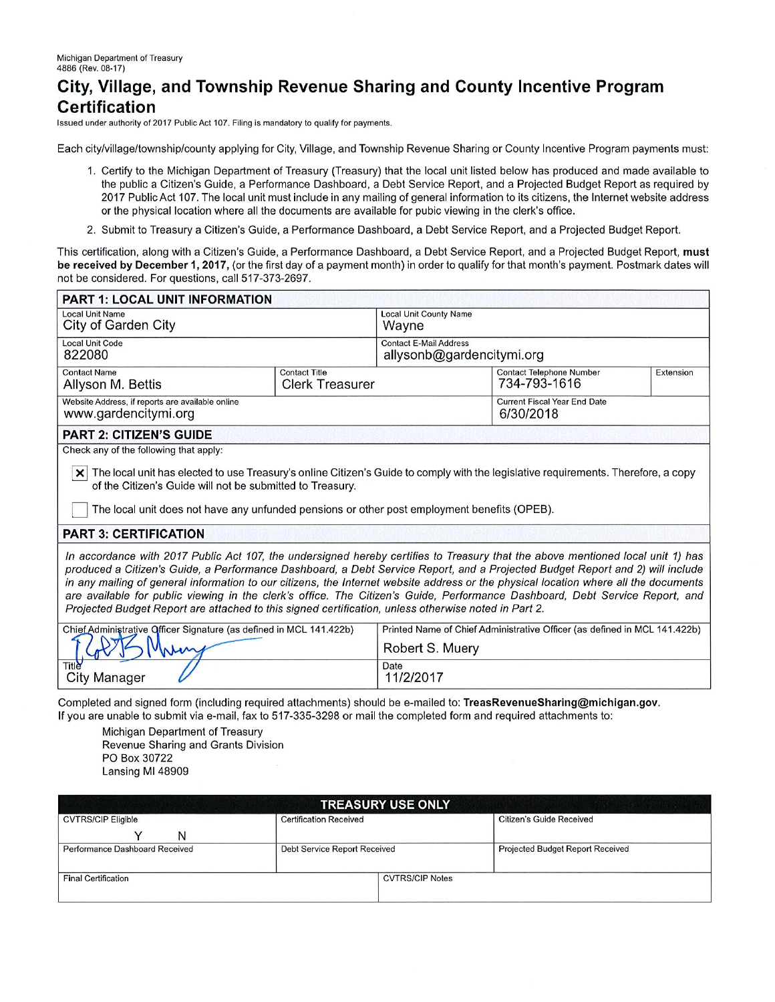## City, Village, and Township Revenue Sharing and County Incentive Program **Certification**

Issued under authority of 2017 Public Act 107. Filing is mandatory to qualify for payments.

Each city/village/township/county applying for City, Village, and Township Revenue Sharing or County Incentive Program payments must:

- 1. Certify to the Michigan Department of Treasury (Treasury) that the local unit listed below has produced and made available to the public a Citizen's Guide, a Performance Dashboard, a Debt Service Report, and a Projected Budget Report as reguired by 2017 Public Act 107. The local unit must include in any mailing of general information to its citizens, the Internet website address or the physical location where all the documents are available for pubic viewing in the clerk's office.
- 2. Submit to Treasury a Citizen's Guide, a Performance Dashboard, a Debt Service Report, and a Projected Budget Report.

This certification, along with a Citizen's Guide, a Performance Dashboard, a Debt Service Report, and a Projected Budget Report, must be received by December 1, 2017, (or the first day of a payment month) in order to qualify for that month's payment. Postmark dates will not be considered. For questions, call 517-373-2697.

| <b>PART 1: LOCAL UNIT INFORMATION</b>                                                                                                                                                                                                                                                                                                                                                                                                                                                                                                                                                                                                            |                                                                           |                                                            |                                                  |           |  |
|--------------------------------------------------------------------------------------------------------------------------------------------------------------------------------------------------------------------------------------------------------------------------------------------------------------------------------------------------------------------------------------------------------------------------------------------------------------------------------------------------------------------------------------------------------------------------------------------------------------------------------------------------|---------------------------------------------------------------------------|------------------------------------------------------------|--------------------------------------------------|-----------|--|
| <b>Local Unit Name</b><br>City of Garden City                                                                                                                                                                                                                                                                                                                                                                                                                                                                                                                                                                                                    |                                                                           | <b>Local Unit County Name</b><br>Wayne                     |                                                  |           |  |
| <b>Local Unit Code</b><br>822080                                                                                                                                                                                                                                                                                                                                                                                                                                                                                                                                                                                                                 |                                                                           | <b>Contact E-Mail Address</b><br>allysonb@gardencitymi.org |                                                  |           |  |
| <b>Contact Name</b><br>Allyson M. Bettis                                                                                                                                                                                                                                                                                                                                                                                                                                                                                                                                                                                                         | <b>Contact Title</b><br><b>Clerk Treasurer</b>                            |                                                            | <b>Contact Telephone Number</b><br>734-793-1616  | Extension |  |
| Website Address, if reports are available online<br>www.gardencitymi.org                                                                                                                                                                                                                                                                                                                                                                                                                                                                                                                                                                         |                                                                           |                                                            | <b>Current Fiscal Year End Date</b><br>6/30/2018 |           |  |
| <b>PART 2: CITIZEN'S GUIDE</b>                                                                                                                                                                                                                                                                                                                                                                                                                                                                                                                                                                                                                   |                                                                           |                                                            |                                                  |           |  |
| Check any of the following that apply:<br>The local unit has elected to use Treasury's online Citizen's Guide to comply with the legislative requirements. Therefore, a copy<br>of the Citizen's Guide will not be submitted to Treasury.<br>The local unit does not have any unfunded pensions or other post employment benefits (OPEB).                                                                                                                                                                                                                                                                                                        |                                                                           |                                                            |                                                  |           |  |
| <b>PART 3: CERTIFICATION</b>                                                                                                                                                                                                                                                                                                                                                                                                                                                                                                                                                                                                                     |                                                                           |                                                            |                                                  |           |  |
| In accordance with 2017 Public Act 107, the undersigned hereby certifies to Treasury that the above mentioned local unit 1) has<br>produced a Citizen's Guide, a Performance Dashboard, a Debt Service Report, and a Projected Budget Report and 2) will include<br>in any mailing of general information to our citizens, the Internet website address or the physical location where all the documents<br>are available for public viewing in the clerk's office. The Citizen's Guide, Performance Dashboard, Debt Service Report, and<br>Projected Budget Report are attached to this signed certification, unless otherwise noted in Part 2. |                                                                           |                                                            |                                                  |           |  |
| Chief Administrative Officer Signature (as defined in MCL 141.422b)                                                                                                                                                                                                                                                                                                                                                                                                                                                                                                                                                                              | Printed Name of Chief Administrative Officer (as defined in MCL 141.422b) |                                                            |                                                  |           |  |
| nhin                                                                                                                                                                                                                                                                                                                                                                                                                                                                                                                                                                                                                                             | Robert S. Muery                                                           |                                                            |                                                  |           |  |
| City Manager                                                                                                                                                                                                                                                                                                                                                                                                                                                                                                                                                                                                                                     | Date<br>11/2/2017                                                         |                                                            |                                                  |           |  |

Completed and signed form (including required attachments) should be e-mailed to: TreasRevenueSharing@michigan.gov. If you are unable to submit via e-mail, fax to 517-335-3298 or mail the completed form and required attachments to:

Michigan Department of Treasury Revenue Sharing and Grants Division PO Box 30722 Lansing MI 48909

| <b>TREASURY USE ONLY</b>       |                               |                        |                                  |  |  |  |  |
|--------------------------------|-------------------------------|------------------------|----------------------------------|--|--|--|--|
| <b>CVTRS/CIP Eligible</b>      | <b>Certification Received</b> |                        | <b>Citizen's Guide Received</b>  |  |  |  |  |
| N                              |                               |                        |                                  |  |  |  |  |
| Performance Dashboard Received | Debt Service Report Received  |                        | Projected Budget Report Received |  |  |  |  |
|                                |                               |                        |                                  |  |  |  |  |
| <b>Final Certification</b>     |                               | <b>CVTRS/CIP Notes</b> |                                  |  |  |  |  |
|                                |                               |                        |                                  |  |  |  |  |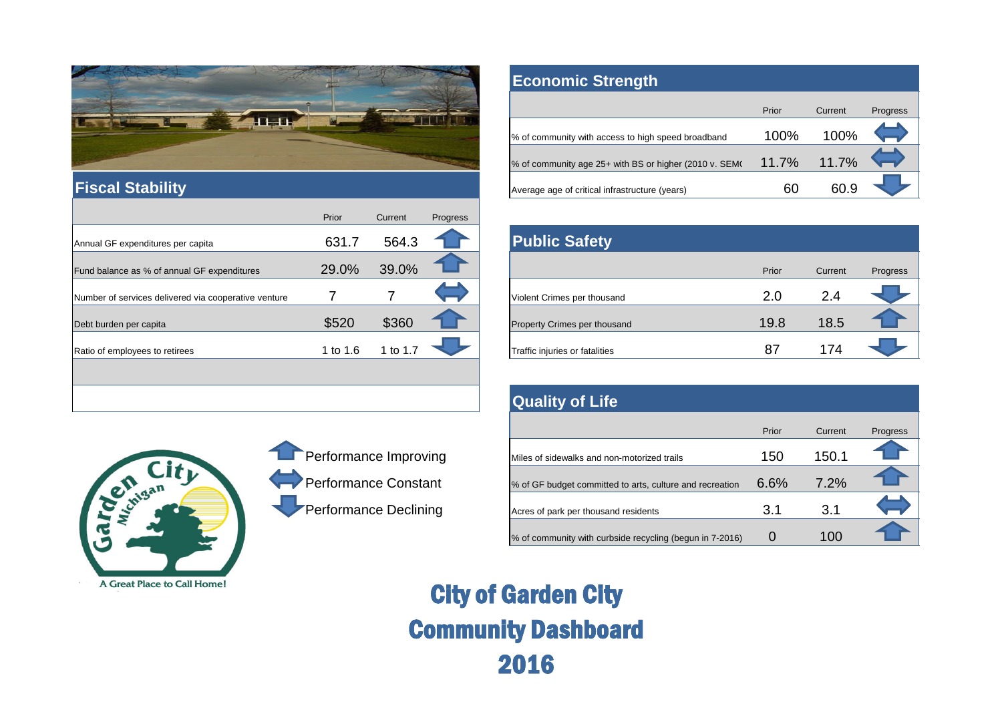

#### **Fiscal Stability**

A Great Place to Call Home!

|                                                      | Prior      | Current | Progress |                                |       |         |          |
|------------------------------------------------------|------------|---------|----------|--------------------------------|-------|---------|----------|
| Annual GF expenditures per capita                    | 631.7      | 564.3   |          | <b>Public Safety</b>           |       |         |          |
| Fund balance as % of annual GF expenditures          | 29.0%      | 39.0%   |          |                                | Prior | Current | Progress |
| Number of services delivered via cooperative venture |            |         |          | Violent Crimes per thousand    | 2.0   | 2.4     |          |
| Debt burden per capita                               | \$520      | \$360   |          | Property Crimes per thousand   | 19.8  | 18.5    |          |
| Ratio of employees to retirees                       | 1 to $1.6$ | to 1.7  |          | Traffic injuries or fatalities | 87    | 174     |          |
|                                                      |            |         |          |                                |       |         |          |
|                                                      |            |         |          | <b>Quality of Life</b>         |       |         |          |

# Cardian City

## Performance Improving Performance Constant Performance Declining

### **Economic Strength**

|                                                        | Prior    | Current | Progress |
|--------------------------------------------------------|----------|---------|----------|
| % of community with access to high speed broadband     | $100\%$  | 100%    |          |
| % of community age 25+ with BS or higher (2010 v. SEM) | $11.7\%$ | 11.7%   |          |
| Average age of critical infrastructure (years)         | 60       | 60 9    |          |

| <b>Public Safety</b>           |       |         |          |
|--------------------------------|-------|---------|----------|
|                                | Prior | Current | Progress |
| Violent Crimes per thousand    | 2.0   | 2.4     |          |
| Property Crimes per thousand   | 19.8  | 18.5    |          |
| Traffic injuries or fatalities | 87    | 174     |          |

## **Quality of Life**

|                                                          | Prior | Current | Progress |
|----------------------------------------------------------|-------|---------|----------|
| Miles of sidewalks and non-motorized trails              | 150   | 150.1   |          |
| % of GF budget committed to arts, culture and recreation | 6.6%  | 7.2%    |          |
| Acres of park per thousand residents                     | 3.1   | 3.1     |          |
| % of community with curbside recycling (begun in 7-2016) |       | 100     |          |

City of Garden City Community Dashboard 2016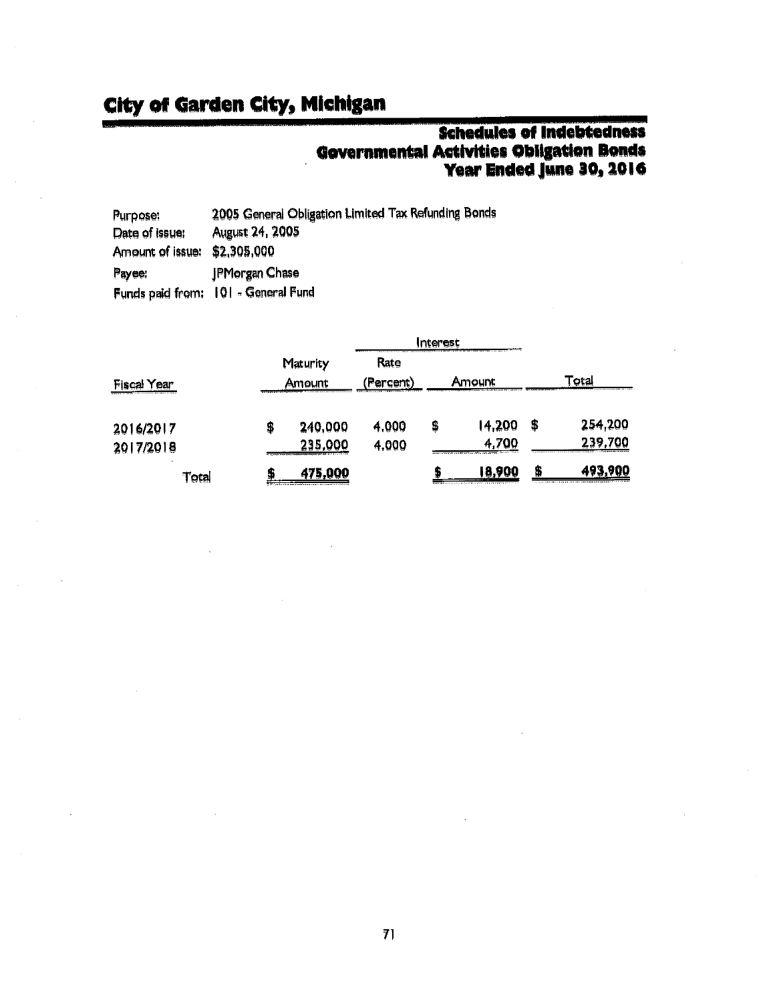## **City of Garden City, Michigan**

# **Schedules of Indebtedness** Governmental Activities Obligation Bonds<br>Year Ended June 30, 2016

| Purpose:         | 2005 General Obligation Limited Tax Refunding Bonds |
|------------------|-----------------------------------------------------|
| Date of issue:   | <b>August 24, 2005</b>                              |
| Amount of issue: | \$2,305,000                                         |
| Payee:           | JPMorgan Chase                                      |
|                  | Funds paid from: 101 - General Fund                 |

|             |          |                                                                                                                                                                                                        |           | Interest |                                                                                                       |    |         |
|-------------|----------|--------------------------------------------------------------------------------------------------------------------------------------------------------------------------------------------------------|-----------|----------|-------------------------------------------------------------------------------------------------------|----|---------|
|             | Maturity |                                                                                                                                                                                                        | Rate      |          |                                                                                                       |    |         |
| Fiscal Year |          | Amount                                                                                                                                                                                                 | (Percent) |          | Amount                                                                                                |    | ⊺otal   |
| 2016/2017   | 5        | 240,000                                                                                                                                                                                                | 4,000     | \$       | 14,200                                                                                                | \$ | 254,200 |
| 2017/2018   |          | 235,000<br>the first manager of representations is considered to the first design to be a first of the construction of the construction of the construction of the construction of the construction of | 4,000     |          | 4.700<br>process contributions to the device to a substitution of the process of the APPS contract in |    | 239,700 |
| Total       | Đ        | 475,000                                                                                                                                                                                                |           |          | 18,900<br>management as a construction of the control of the address of the control of                | я  | 493.900 |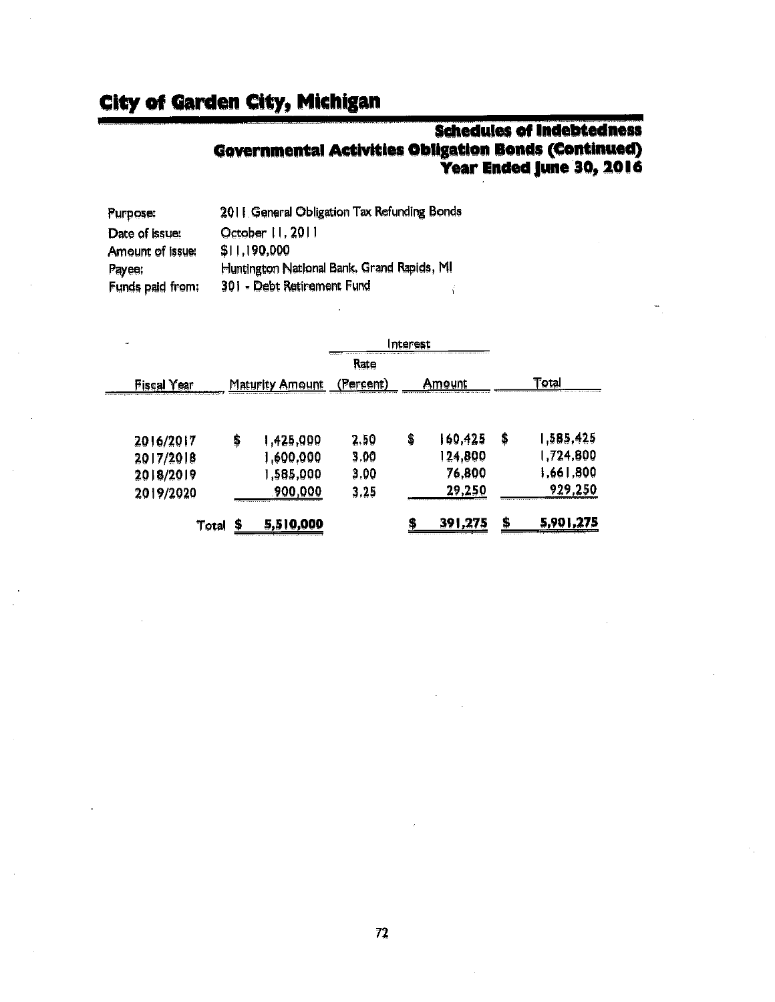# **Schedules of Indebtedness Governmental Activities Obligation Bonds (Continued)**<br>Year Ended June 30, 2016

| Purpose:         | 2011 General Obligation Tax Refunding Bonds |
|------------------|---------------------------------------------|
| Date of issue:   | October 11, 2011                            |
| Amount of issue: | \$11,190,000                                |
| Payee:           | Huntington National Bank, Grand Rapids, MI  |
| Funds paid from: | 301 - Debt Retirement Fund                  |

| ⊷                  |                                                                                                                                                                                                                                           |          |    |                                           |                 |
|--------------------|-------------------------------------------------------------------------------------------------------------------------------------------------------------------------------------------------------------------------------------------|----------|----|-------------------------------------------|-----------------|
|                    |                                                                                                                                                                                                                                           | Rate     |    |                                           |                 |
| <b>Fiscal Year</b> | Maturity Amount                                                                                                                                                                                                                           | (Percent |    | Amount                                    | ota             |
|                    |                                                                                                                                                                                                                                           |          |    |                                           |                 |
| 2016/2017          | \$<br>1,425,000                                                                                                                                                                                                                           | 2.50     | \$ | 160,425                                   | \$<br>1,585,425 |
| 2017/2018          | ,600,000                                                                                                                                                                                                                                  | 3.00     |    | 24,800                                    | 1,724,800       |
| 2018/2019          | ,585,000                                                                                                                                                                                                                                  | 3.00     |    | 76,800                                    | 1,661,800       |
| 2019/2020          | 900,000<br>the continues of the control of the control of the control of the control of the control of the control of the control of the control of the control of the control of the control of the control of the control of the contro | 3,25     |    | 29.250<br>,,,,,,,,,,,,,,,,,,,,,,,,,,,,,,, | 929,250         |
| Total              | 5,510,000                                                                                                                                                                                                                                 |          | φ  | 391,275                                   | \$<br>5,901,275 |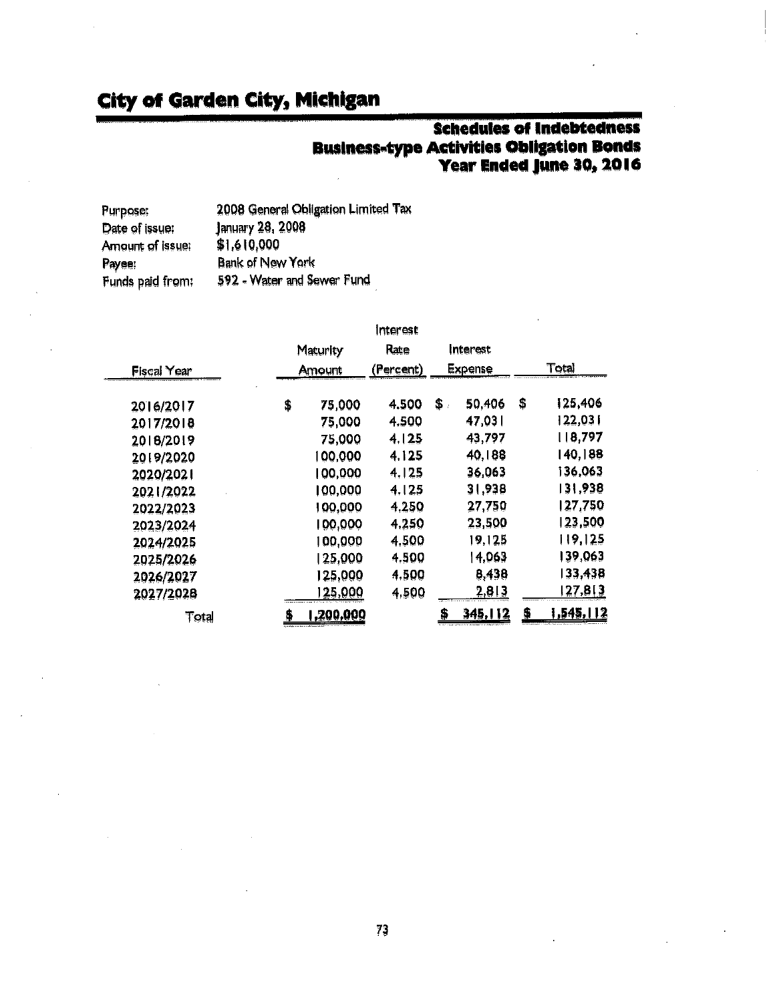# **Schedules of Indebtedness Business-type Activities Obligation Bonds<br>Year Ended June 30, 2016**

| Purpose;         | 2008 General Obligation Limited Tax |
|------------------|-------------------------------------|
| Date of issue:   | January 28, 2008                    |
| Amount of issue: | \$1,610,000                         |
| Payee:           | <b>Bank of New York</b>             |
| Funds paid from: | 592 - Water and Sewer Fund          |

|                    | Interest |                   |           |                |          |    |                  |
|--------------------|----------|-------------------|-----------|----------------|----------|----|------------------|
|                    | Maturity |                   | Rate      |                | Interest |    |                  |
| <b>Fiscal Year</b> |          | Amount            | (Percent) | <b>Expense</b> |          |    | Total            |
| 2016/2017          | \$       | 75,000            | 4,500     | \$.            | 50,406   | \$ | 125,406          |
| 2017/2010          |          | 75,000            | 4.500     |                | 47,031   |    | 122,031          |
| 2018/2019          |          | 75,000            | 4125      |                | 43,797   |    | 8,797            |
| 2019/2020          |          | 00,000            | 4.125     |                | 40,188   |    | 140,188          |
| 2020/2021          |          | 100,000           | 4.125     |                | 36,063   |    | 136,063          |
| 2021/2022          |          | 100,000           | 4.125     |                | 31,938   |    | 31,938           |
| 2022/2023          |          | 00,000            | 4.250     |                | 27,750   |    | 127,750          |
| 2023/2024          |          | 100,000           | 4.250     |                | 23,500   |    | 123,500          |
| 2024/2025          |          | 100,000           | 4.500     |                | 19,125   |    | 119,125          |
| 2025/2026          |          | 25,000            | 4,500     |                | 4,063    |    | 39,063           |
| 2026/2027          |          | 125,000           | 4,500     |                | 8,438    |    | 33,438           |
| 2027/2028          |          | 25.000            | 4,500     |                | 2,813    |    | 27, <u>8 3</u>   |
| $\tau$ otal        | \$       | <u>1,200,000 </u> |           | \$             | 345,112  | \$ | <u>1,545,112</u> |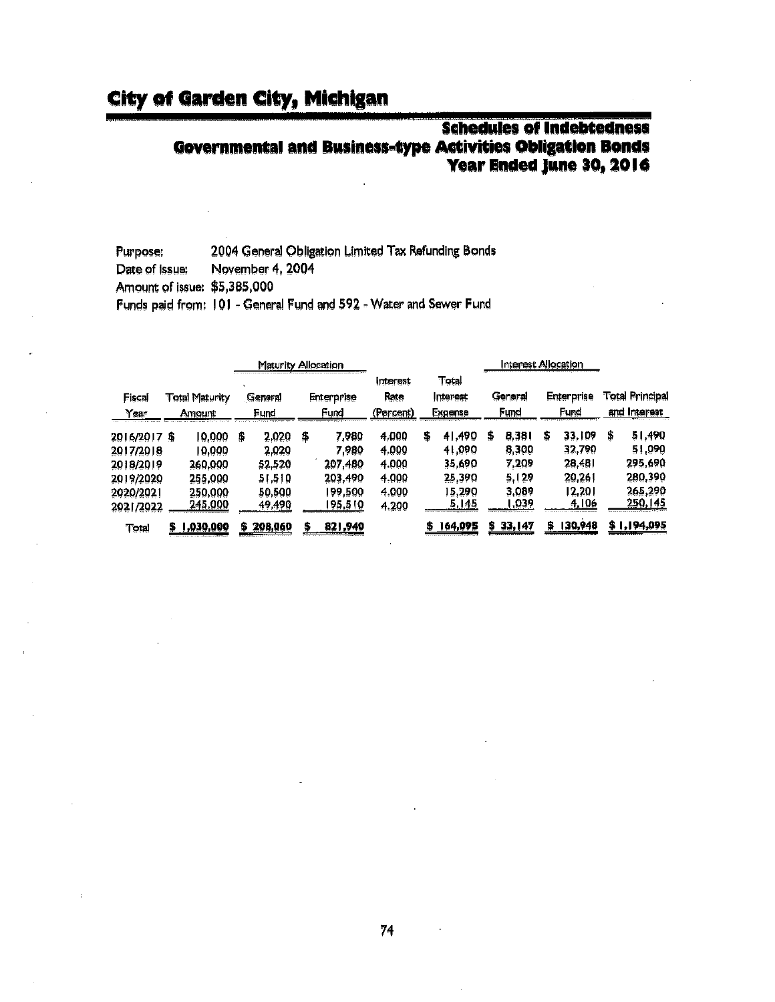#### **Schedules of Indebtedness Governmental and Business-type Activities Obligation Bonds Year Ended June 30, 2016**

2004 General Obligation Limited Tax Refunding Bonds Purpose: Date of Issue: November 4, 2004 Amount of issue: \$5,385,000

Funds paid from: 101 - General Fund and 592 - Water and Sewer Fund

|                |                                 |           |                 | Maturity Allocation |                           |         |                               |                              |         | Interest Allocation |         |                    |        |                                 |             |
|----------------|---------------------------------|-----------|-----------------|---------------------|---------------------------|---------|-------------------------------|------------------------------|---------|---------------------|---------|--------------------|--------|---------------------------------|-------------|
| Fiscal<br>Year | <b>Total Maturity</b><br>Amount |           | General<br>Fund |                     | <b>Enterprise</b><br>Fund |         | Interest<br>Rate<br>(Percent) | Total<br>Interest<br>Expense |         | General<br>Fund     |         | Enterprise<br>Fund |        | Total Principal<br>and Interest |             |
| 2016/2017 \$   |                                 | 10,000    | S               | 2.020               | \$                        | 7,980   | 4.000                         | 5                            | 41,490  | Ş                   | 8,381   | S                  | 33,109 | Ş                               | 51.490      |
| 2017/2018      |                                 | 19,000    |                 | 2,020               |                           | 7,980   | 4.000                         |                              | 41,090  |                     | 8,300   |                    | 32,790 |                                 | 51,090      |
| 2018/2019      |                                 | 260,000   |                 | 52.520              |                           | 207,480 | 4.000                         |                              | 35.690  |                     | 7,209   |                    | 28,481 |                                 | 295,690     |
| 2019/2020      |                                 | 255,000   |                 | 51.510              |                           | 203,490 | 4.000                         |                              | 25.390  |                     | 5,129   |                    | 20,261 |                                 | 280.390     |
| 2020/2021      |                                 | 250,000   |                 | 50,500              |                           | 199,500 | 4.000                         |                              | 15.290  |                     | 3,089   |                    | 12,201 |                                 | 265,290     |
| 2021/2022      |                                 | 245,000   |                 | 49,490              |                           | 195,510 | 4.200                         |                              | 5 145   |                     | ,039    |                    | 4,106  |                                 | 250,145     |
| Total          | Б                               | 1,030,000 |                 | 208,060             |                           | 821,940 |                               | Ф                            | 164,095 |                     | 33, 147 |                    | 30,948 |                                 | \$1,194,095 |

74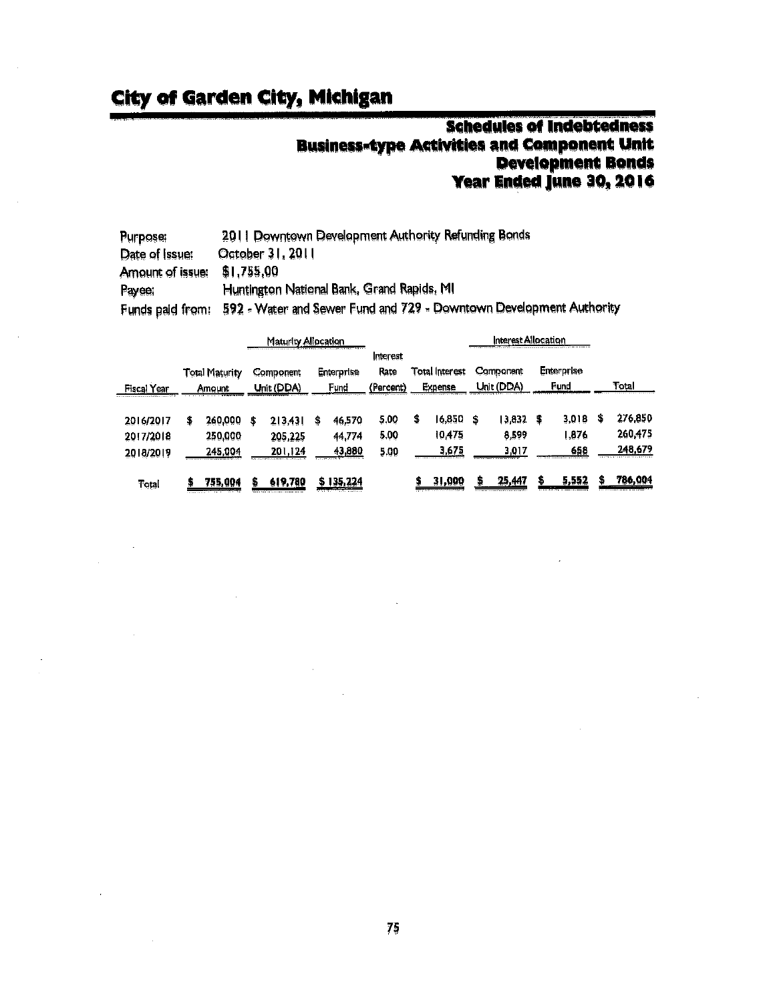## **Schedules of Indebtedness Business-type Activities and Component Unit<br>Development Bonds** Year Ended June 30, 2016

| <b>Purpose:</b>  | 2011 Downtown Development Authority Refunding Bonds                 |
|------------------|---------------------------------------------------------------------|
| Date of Issue:   | October 31, 2011                                                    |
| Amount of issue: | \$1,755,00                                                          |
| Payee.           | Huntington National Bank, Grand Rapids, MI                          |
| Funds paid from: | 592 - Water and Sewer Fund and 729 - Downtown Development Authority |

|                                     | Maturity Allocation |                                 |   |                                                                                 |    |                                                                      |                               |   | nterest Allocation<br>a também de 1979, el partido de la companya de la companya de la companya de la companya de la companya de la |    |                                                                               |   |                                                           |   |                                                             |
|-------------------------------------|---------------------|---------------------------------|---|---------------------------------------------------------------------------------|----|----------------------------------------------------------------------|-------------------------------|---|-------------------------------------------------------------------------------------------------------------------------------------|----|-------------------------------------------------------------------------------|---|-----------------------------------------------------------|---|-------------------------------------------------------------|
| Fiscal Year                         |                     | <b>Total Maturity</b><br>Amount |   | Component<br>Unit (DDA)                                                         |    | Enterprise<br>Fundi                                                  | Interest<br>Rate<br>(Percent) |   | Total Interest<br>Expense                                                                                                           |    | Component<br>Jnit (DDA)                                                       |   | <b>Enterprise</b><br>Fund                                 |   | Total                                                       |
| 2016/2017<br>2017/2018<br>2018/2019 | S                   | 260,000<br>250,000<br>245.004   | 5 | 2 3,43 <br>205,225<br>201.124<br>is a relation of the experiment of a result of | \$ | 46,570<br>44,774<br>43,880<br><b>ALLAND CARDS 3</b>                  | 5.00<br>5.00<br>5.00          | 5 | 16,850<br>10475<br>3.675<br>---------------------                                                                                   | \$ | 13,832<br>8,599<br>3,017                                                      | S | 3,018<br>,876<br>658<br>changing here is a water painting | s | 276,850<br>260,475<br>248,679<br>************************** |
| Tetal                               |                     | 755,004<br>.                    | 5 | 619,780                                                                         |    | <b><i><u>Bird Contracts</u></i></b><br><b><i>Allen works are</i></b> |                               |   | 31,000<br>THE R. P. LEWIS CO., LANSING MICH.                                                                                        | s  | <u>25,447</u><br>and to generate the second and of any almost a stress of the |   | 5,552<br>as an electronic commence comments               |   | 786.004                                                     |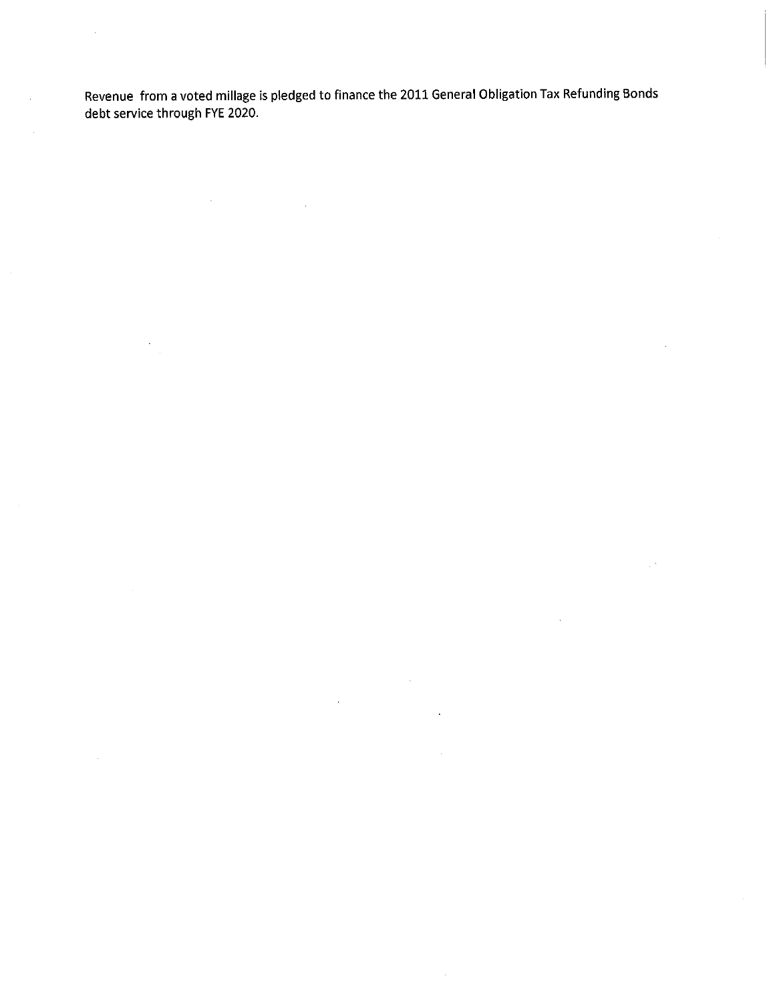Revenue from a voted millage is pledged to finance the 2011 General Obligation Tax Refunding Bonds debt service through FYE 2020.

 $\mathcal{A}^{\mathcal{A}}$ 

 $\bar{z}$